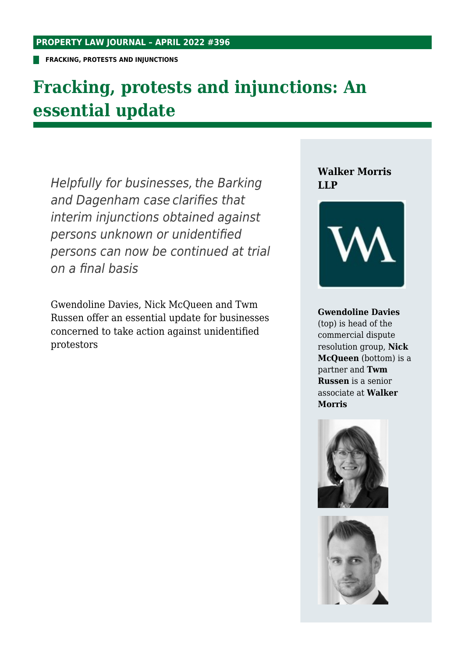**FRACKING, PROTESTS AND INJUNCTIONS**

## **Fracking, protests and injunctions: An essential update**

Helpfully for businesses, the Barking and Dagenham case clarifies that interim injunctions obtained against persons unknown or unidentified persons can now be continued at trial on a final basis

Gwendoline Davies, Nick McQueen and Twm Russen offer an essential update for businesses concerned to take action against unidentified protestors

#### **Walker Morris LLP**



#### **Gwendoline Davies**

(top) is head of the commercial dispute resolution group, **Nick McQueen** (bottom) is a partner and **Twm Russen** is a senior associate at **Walker Morris**



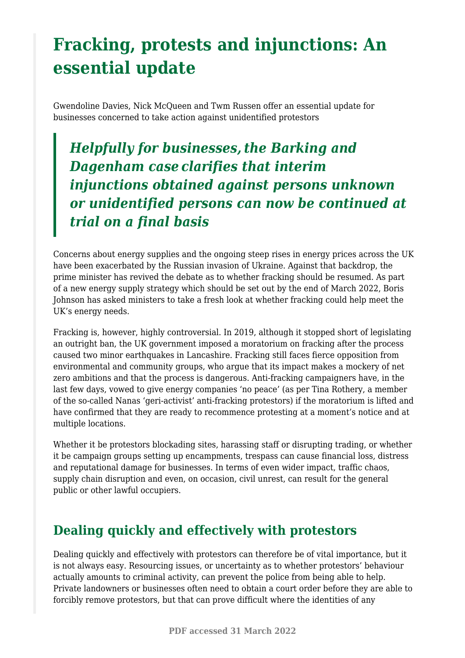# **Fracking, protests and injunctions: An essential update**

Gwendoline Davies, Nick McQueen and Twm Russen offer an essential update for businesses concerned to take action against unidentified protestors

*Helpfully for businesses, the Barking and Dagenham case clarifies that interim injunctions obtained against persons unknown or unidentified persons can now be continued at trial on a final basis*

Concerns about energy supplies and the ongoing steep rises in energy prices across the UK have been exacerbated by the Russian invasion of Ukraine. Against that backdrop, the prime minister has revived the debate as to whether fracking should be resumed. As part of a new energy supply strategy which should be set out by the end of March 2022, Boris Johnson has asked ministers to take a fresh look at whether fracking could help meet the UK's energy needs.

Fracking is, however, highly controversial. In 2019, although it stopped short of legislating an outright ban, the UK government imposed a moratorium on fracking after the process caused two minor earthquakes in Lancashire. Fracking still faces fierce opposition from environmental and community groups, who argue that its impact makes a mockery of net zero ambitions and that the process is dangerous. Anti-fracking campaigners have, in the last few days, vowed to give energy companies 'no peace' (as per Tina Rothery, a member of the so-called Nanas 'geri-activist' anti-fracking protestors) if the moratorium is lifted and have confirmed that they are ready to recommence protesting at a moment's notice and at multiple locations.

Whether it be protestors blockading sites, harassing staff or disrupting trading, or whether it be campaign groups setting up encampments, trespass can cause financial loss, distress and reputational damage for businesses. In terms of even wider impact, traffic chaos, supply chain disruption and even, on occasion, civil unrest, can result for the general public or other lawful occupiers.

### **Dealing quickly and effectively with protestors**

Dealing quickly and effectively with protestors can therefore be of vital importance, but it is not always easy. Resourcing issues, or uncertainty as to whether protestors' behaviour actually amounts to criminal activity, can prevent the police from being able to help. Private landowners or businesses often need to obtain a court order before they are able to forcibly remove protestors, but that can prove difficult where the identities of any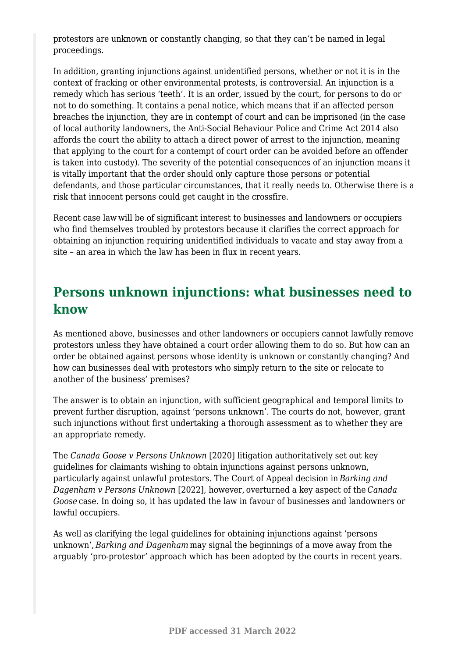protestors are unknown or constantly changing, so that they can't be named in legal proceedings.

In addition, granting injunctions against unidentified persons, whether or not it is in the context of fracking or other environmental protests, is controversial. An injunction is a remedy which has serious 'teeth'. It is an order, issued by the court, for persons to do or not to do something. It contains a penal notice, which means that if an affected person breaches the injunction, they are in contempt of court and can be imprisoned (in the case of local authority landowners, the Anti-Social Behaviour Police and Crime Act 2014 also affords the court the ability to attach a direct power of arrest to the injunction, meaning that applying to the court for a contempt of court order can be avoided before an offender is taken into custody). The severity of the potential consequences of an injunction means it is vitally important that the order should only capture those persons or potential defendants, and those particular circumstances, that it really needs to. Otherwise there is a risk that innocent persons could get caught in the crossfire.

Recent case law will be of significant interest to businesses and landowners or occupiers who find themselves troubled by protestors because it clarifies the correct approach for obtaining an injunction requiring unidentified individuals to vacate and stay away from a site – an area in which the law has been in flux in recent years.

### **Persons unknown injunctions: what businesses need to know**

As mentioned above, businesses and other landowners or occupiers cannot lawfully remove protestors unless they have obtained a court order allowing them to do so. But how can an order be obtained against persons whose identity is unknown or constantly changing? And how can businesses deal with protestors who simply return to the site or relocate to another of the business' premises?

The answer is to obtain an injunction, with sufficient geographical and temporal limits to prevent further disruption, against 'persons unknown'. The courts do not, however, grant such injunctions without first undertaking a thorough assessment as to whether they are an appropriate remedy.

The *Canada Goose v Persons Unknown* [2020] litigation authoritatively set out key guidelines for claimants wishing to obtain injunctions against persons unknown, particularly against unlawful protestors. The Court of Appeal decision in *Barking and Dagenham v Persons Unknown* [2022], however, overturned a key aspect of the*Canada Goose* case. In doing so, it has updated the law in favour of businesses and landowners or lawful occupiers.

As well as clarifying the legal guidelines for obtaining injunctions against 'persons unknown', *Barking and Dagenham* may signal the beginnings of a move away from the arguably 'pro-protestor' approach which has been adopted by the courts in recent years.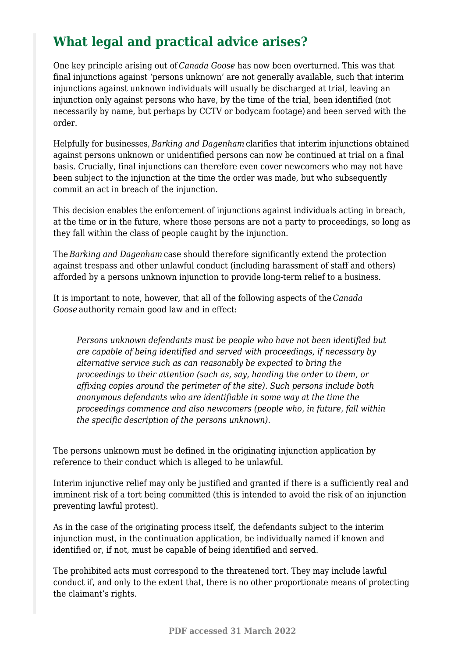## **What legal and practical advice arises?**

One key principle arising out of *Canada Goose* has now been overturned. This was that final injunctions against 'persons unknown' are not generally available, such that interim injunctions against unknown individuals will usually be discharged at trial, leaving an injunction only against persons who have, by the time of the trial, been identified (not necessarily by name, but perhaps by CCTV or bodycam footage) and been served with the order.

Helpfully for businesses, *Barking and Dagenham* clarifies that interim injunctions obtained against persons unknown or unidentified persons can now be continued at trial on a final basis. Crucially, final injunctions can therefore even cover newcomers who may not have been subject to the injunction at the time the order was made, but who subsequently commit an act in breach of the injunction.

This decision enables the enforcement of injunctions against individuals acting in breach, at the time or in the future, where those persons are not a party to proceedings, so long as they fall within the class of people caught by the injunction.

The *Barking and Dagenham* case should therefore significantly extend the protection against trespass and other unlawful conduct (including harassment of staff and others) afforded by a persons unknown injunction to provide long-term relief to a business.

It is important to note, however, that all of the following aspects of the *Canada Goose* authority remain good law and in effect:

*Persons unknown defendants must be people who have not been identified but are capable of being identified and served with proceedings, if necessary by alternative service such as can reasonably be expected to bring the proceedings to their attention (such as, say, handing the order to them, or affixing copies around the perimeter of the site). Such persons include both anonymous defendants who are identifiable in some way at the time the proceedings commence and also newcomers (people who, in future, fall within the specific description of the persons unknown).*

The persons unknown must be defined in the originating injunction application by reference to their conduct which is alleged to be unlawful.

Interim injunctive relief may only be justified and granted if there is a sufficiently real and imminent risk of a tort being committed (this is intended to avoid the risk of an injunction preventing lawful protest).

As in the case of the originating process itself, the defendants subject to the interim injunction must, in the continuation application, be individually named if known and identified or, if not, must be capable of being identified and served.

The prohibited acts must correspond to the threatened tort. They may include lawful conduct if, and only to the extent that, there is no other proportionate means of protecting the claimant's rights.